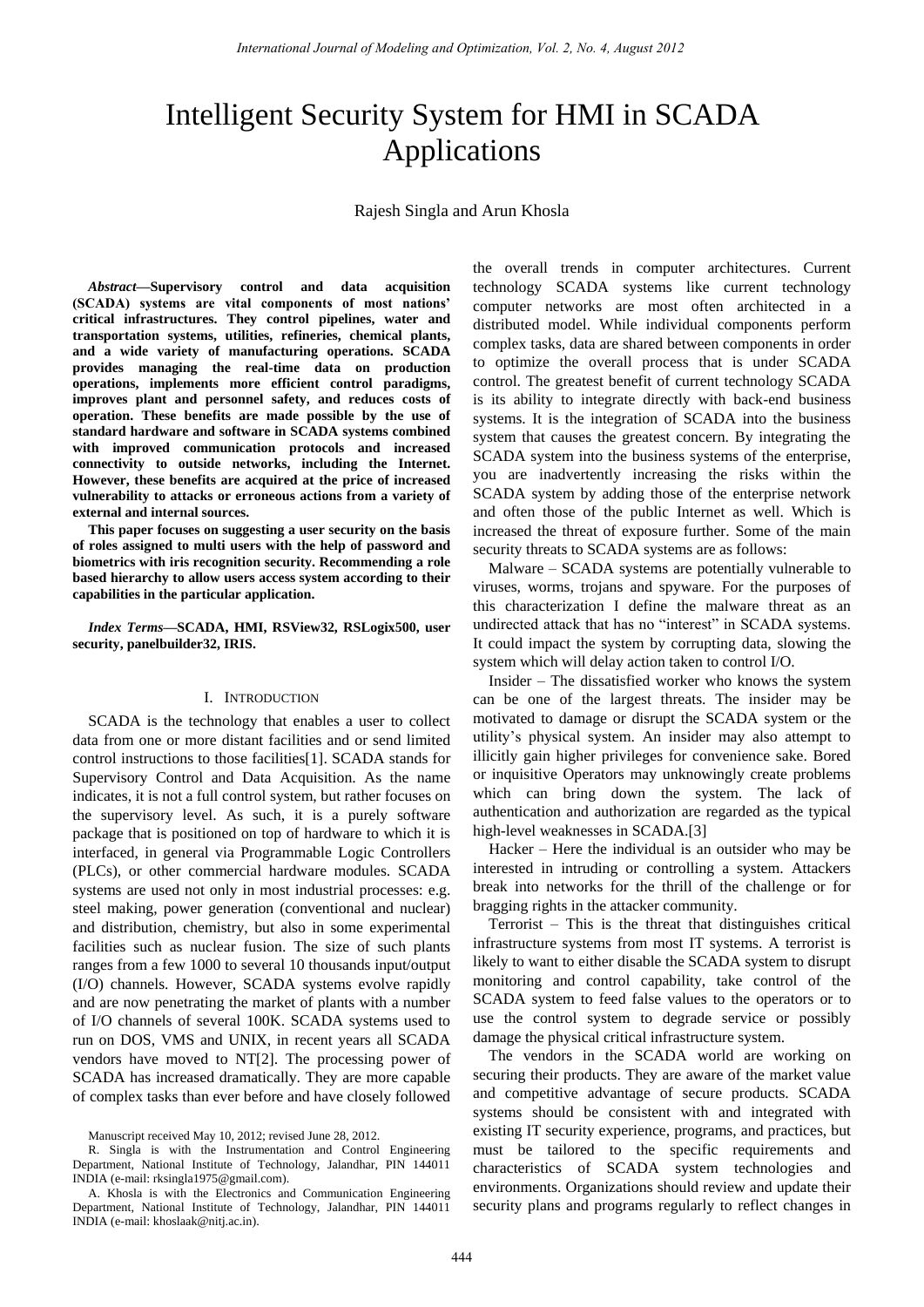# Intelligent Security System for HMI in SCADA Applications

Rajesh Singla and Arun Khosla

*Abstract***—Supervisory control and data acquisition (SCADA) systems are vital components of most nations' critical infrastructures. They control pipelines, water and transportation systems, utilities, refineries, chemical plants, and a wide variety of manufacturing operations. SCADA provides managing the real-time data on production operations, implements more efficient control paradigms, improves plant and personnel safety, and reduces costs of operation. These benefits are made possible by the use of standard hardware and software in SCADA systems combined with improved communication protocols and increased connectivity to outside networks, including the Internet. However, these benefits are acquired at the price of increased vulnerability to attacks or erroneous actions from a variety of external and internal sources.** 

**This paper focuses on suggesting a user security on the basis of roles assigned to multi users with the help of password and biometrics with iris recognition security. Recommending a role based hierarchy to allow users access system according to their capabilities in the particular application.** 

*Index Terms***—SCADA, HMI, RSView32, RSLogix500, user security, panelbuilder32, IRIS.** 

#### I. INTRODUCTION

SCADA is the technology that enables a user to collect data from one or more distant facilities and or send limited control instructions to those facilities[1]. SCADA stands for Supervisory Control and Data Acquisition. As the name indicates, it is not a full control system, but rather focuses on the supervisory level. As such, it is a purely software package that is positioned on top of hardware to which it is interfaced, in general via Programmable Logic Controllers (PLCs), or other commercial hardware modules. SCADA systems are used not only in most industrial processes: e.g. steel making, power generation (conventional and nuclear) and distribution, chemistry, but also in some experimental facilities such as nuclear fusion. The size of such plants ranges from a few 1000 to several 10 thousands input/output (I/O) channels. However, SCADA systems evolve rapidly and are now penetrating the market of plants with a number of I/O channels of several 100K. SCADA systems used to run on DOS, VMS and UNIX, in recent years all SCADA vendors have moved to NT[2]. The processing power of SCADA has increased dramatically. They are more capable of complex tasks than ever before and have closely followed the overall trends in computer architectures. Current technology SCADA systems like current technology computer networks are most often architected in a distributed model. While individual components perform complex tasks, data are shared between components in order to optimize the overall process that is under SCADA control. The greatest benefit of current technology SCADA is its ability to integrate directly with back-end business systems. It is the integration of SCADA into the business system that causes the greatest concern. By integrating the SCADA system into the business systems of the enterprise, you are inadvertently increasing the risks within the SCADA system by adding those of the enterprise network and often those of the public Internet as well. Which is increased the threat of exposure further. Some of the main security threats to SCADA systems are as follows:

Malware – SCADA systems are potentially vulnerable to viruses, worms, trojans and spyware. For the purposes of this characterization I define the malware threat as an undirected attack that has no "interest" in SCADA systems. It could impact the system by corrupting data, slowing the system which will delay action taken to control I/O.

Insider – The dissatisfied worker who knows the system can be one of the largest threats. The insider may be motivated to damage or disrupt the SCADA system or the utility's physical system. An insider may also attempt to illicitly gain higher privileges for convenience sake. Bored or inquisitive Operators may unknowingly create problems which can bring down the system. The lack of authentication and authorization are regarded as the typical high-level weaknesses in SCADA.[3]

Hacker – Here the individual is an outsider who may be interested in intruding or controlling a system. Attackers break into networks for the thrill of the challenge or for bragging rights in the attacker community.

Terrorist – This is the threat that distinguishes critical infrastructure systems from most IT systems. A terrorist is likely to want to either disable the SCADA system to disrupt monitoring and control capability, take control of the SCADA system to feed false values to the operators or to use the control system to degrade service or possibly damage the physical critical infrastructure system.

The vendors in the SCADA world are working on securing their products. They are aware of the market value and competitive advantage of secure products. SCADA systems should be consistent with and integrated with existing IT security experience, programs, and practices, but must be tailored to the specific requirements and characteristics of SCADA system technologies and environments. Organizations should review and update their security plans and programs regularly to reflect changes in

Manuscript received May 10, 2012; revised June 28, 2012.

R. Singla is with the Instrumentation and Control Engineering Department, National Institute of Technology, Jalandhar, PIN 144011 INDIA (e-mail: [rksingla1975@gmail.com\)](mailto:rksingla1975@gmail.com).

A. Khosla is with the Electronics and Communication Engineering Department, National Institute of Technology, Jalandhar, PIN 144011 INDIA (e-mail: khoslaak@nitj.ac.in).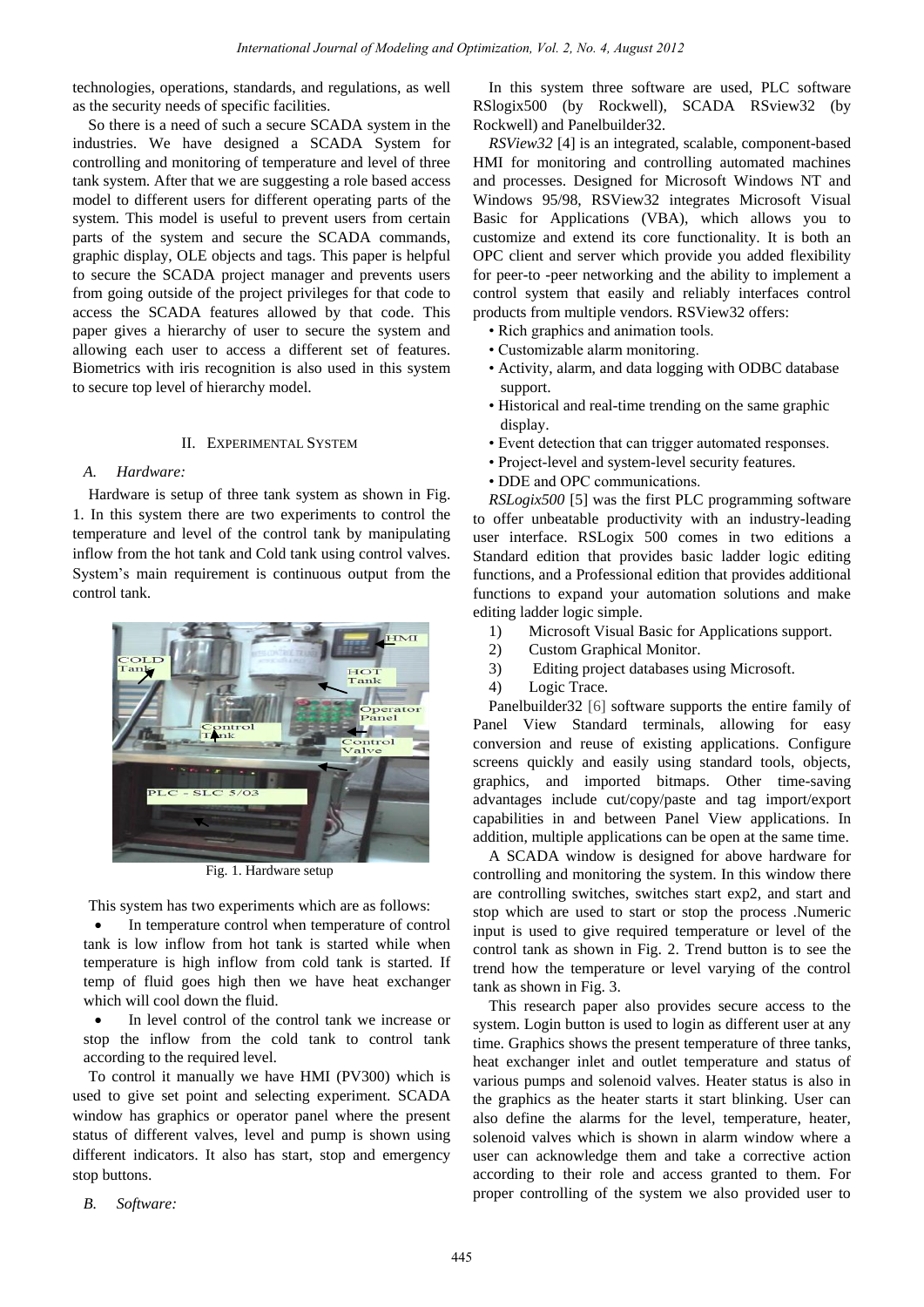technologies, operations, standards, and regulations, as well as the security needs of specific facilities.

So there is a need of such a secure SCADA system in the industries. We have designed a SCADA System for controlling and monitoring of temperature and level of three tank system. After that we are suggesting a role based access model to different users for different operating parts of the system. This model is useful to prevent users from certain parts of the system and secure the SCADA commands, graphic display, OLE objects and tags. This paper is helpful to secure the SCADA project manager and prevents users from going outside of the project privileges for that code to access the SCADA features allowed by that code. This paper gives a hierarchy of user to secure the system and allowing each user to access a different set of features. Biometrics with iris recognition is also used in this system to secure top level of hierarchy model.

# II. EXPERIMENTAL SYSTEM

# *A. Hardware:*

Hardware is setup of three tank system as shown in Fig. 1. In this system there are two experiments to control the temperature and level of the control tank by manipulating inflow from the hot tank and Cold tank using control valves. System's main requirement is continuous output from the control tank.



Fig. 1. Hardware setup

This system has two experiments which are as follows:

• In temperature control when temperature of control tank is low inflow from hot tank is started while when temperature is high inflow from cold tank is started. If temp of fluid goes high then we have heat exchanger which will cool down the fluid.

 In level control of the control tank we increase or stop the inflow from the cold tank to control tank according to the required level.

To control it manually we have HMI (PV300) which is used to give set point and selecting experiment. SCADA window has graphics or operator panel where the present status of different valves, level and pump is shown using different indicators. It also has start, stop and emergency stop buttons.

*B. Software:* 

In this system three software are used, PLC software RSlogix500 (by Rockwell), SCADA RSview32 (by Rockwell) and Panelbuilder32.

*RSView32* [4] is an integrated, scalable, component-based HMI for monitoring and controlling automated machines and processes. Designed for Microsoft Windows NT and Windows 95/98, RSView32 integrates Microsoft Visual Basic for Applications (VBA), which allows you to customize and extend its core functionality. It is both an OPC client and server which provide you added flexibility for peer-to -peer networking and the ability to implement a control system that easily and reliably interfaces control products from multiple vendors. RSView32 offers:

- Rich graphics and animation tools.
- Customizable alarm monitoring.
- Activity, alarm, and data logging with ODBC database support.
- Historical and real-time trending on the same graphic display.
- Event detection that can trigger automated responses.
- Project-level and system-level security features.
- DDE and OPC communications.

*RSLogix500* [5] was the first PLC programming software to offer unbeatable productivity with an industry-leading user interface. RSLogix 500 comes in two editions a Standard edition that provides basic ladder logic editing functions, and a Professional edition that provides additional functions to expand your automation solutions and make editing ladder logic simple.

- 1) Microsoft Visual Basic for Applications support.
- 2) Custom Graphical Monitor.
- 3) Editing project databases using Microsoft.
- 4) Logic Trace.

Panelbuilder32 [6] software supports the entire family of Panel View Standard terminals, allowing for easy conversion and reuse of existing applications. Configure screens quickly and easily using standard tools, objects, graphics, and imported bitmaps. Other time-saving advantages include cut/copy/paste and tag import/export capabilities in and between Panel View applications. In addition, multiple applications can be open at the same time.

A SCADA window is designed for above hardware for controlling and monitoring the system. In this window there are controlling switches, switches start exp2, and start and stop which are used to start or stop the process .Numeric input is used to give required temperature or level of the control tank as shown in Fig. 2. Trend button is to see the trend how the temperature or level varying of the control tank as shown in Fig. 3.

This research paper also provides secure access to the system. Login button is used to login as different user at any time. Graphics shows the present temperature of three tanks, heat exchanger inlet and outlet temperature and status of various pumps and solenoid valves. Heater status is also in the graphics as the heater starts it start blinking. User can also define the alarms for the level, temperature, heater, solenoid valves which is shown in alarm window where a user can acknowledge them and take a corrective action according to their role and access granted to them. For proper controlling of the system we also provided user to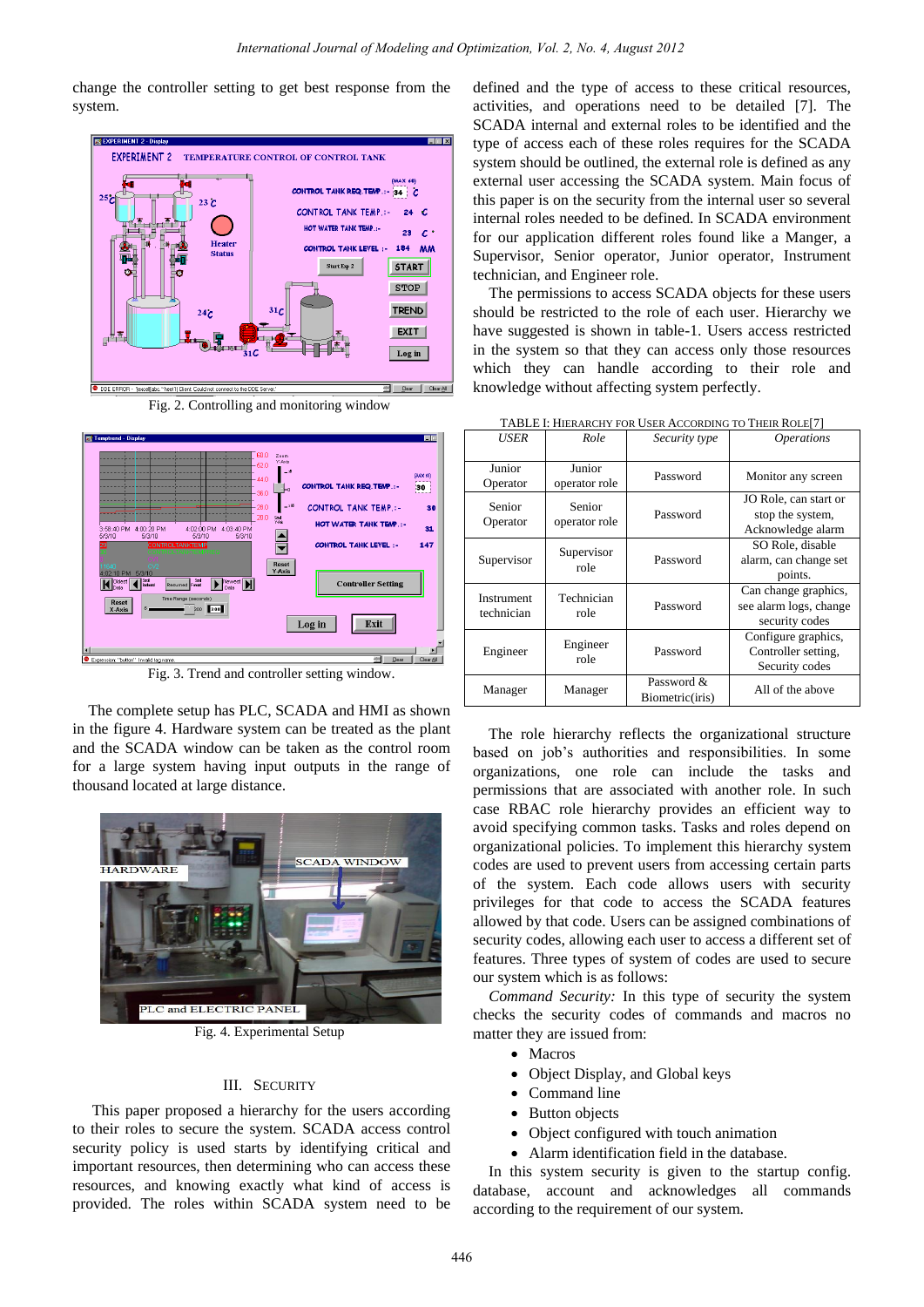change the controller setting to get best response from the system.



Fig. 2. Controlling and monitoring window



Fig. 3. Trend and controller setting window.

The complete setup has PLC, SCADA and HMI as shown in the figure 4. Hardware system can be treated as the plant and the SCADA window can be taken as the control room for a large system having input outputs in the range of thousand located at large distance.



Fig. 4. Experimental Setup

### III. SECURITY

 This paper proposed a hierarchy for the users according to their roles to secure the system. SCADA access control security policy is used starts by identifying critical and important resources, then determining who can access these resources, and knowing exactly what kind of access is provided. The roles within SCADA system need to be defined and the type of access to these critical resources, activities, and operations need to be detailed [7]. The SCADA internal and external roles to be identified and the type of access each of these roles requires for the SCADA system should be outlined, the external role is defined as any external user accessing the SCADA system. Main focus of this paper is on the security from the internal user so several internal roles needed to be defined. In SCADA environment for our application different roles found like a Manger, a Supervisor, Senior operator, Junior operator, Instrument technician, and Engineer role.

The permissions to access SCADA objects for these users should be restricted to the role of each user. Hierarchy we have suggested is shown in table-1. Users access restricted in the system so that they can access only those resources which they can handle according to their role and knowledge without affecting system perfectly.

| USER                     | Role                    | Security type                 | <i><b>Operations</b></i>                                         |
|--------------------------|-------------------------|-------------------------------|------------------------------------------------------------------|
| Junior<br>Operator       | Junior<br>operator role | Password                      | Monitor any screen                                               |
| Senior<br>Operator       | Senior<br>operator role | Password                      | JO Role, can start or<br>stop the system,<br>Acknowledge alarm   |
| Supervisor               | Supervisor<br>role      | Password                      | SO Role, disable<br>alarm, can change set<br>points.             |
| Instrument<br>technician | Technician<br>role      | Password                      | Can change graphics,<br>see alarm logs, change<br>security codes |
| Engineer                 | Engineer<br>role        | Password                      | Configure graphics,<br>Controller setting.<br>Security codes     |
| Manager                  | Manager                 | Password &<br>Biometric(iris) | All of the above                                                 |

TABLE I: HIERARCHY FOR USER ACCORDING TO THEIR ROLE[7]

The role hierarchy reflects the organizational structure based on job's authorities and responsibilities. In some organizations, one role can include the tasks and permissions that are associated with another role. In such case RBAC role hierarchy provides an efficient way to avoid specifying common tasks. Tasks and roles depend on organizational policies. To implement this hierarchy system codes are used to prevent users from accessing certain parts of the system. Each code allows users with security privileges for that code to access the SCADA features allowed by that code. Users can be assigned combinations of security codes, allowing each user to access a different set of features. Three types of system of codes are used to secure our system which is as follows:

*Command Security:* In this type of security the system checks the security codes of commands and macros no matter they are issued from:

- Macros
- Object Display, and Global keys
- Command line
- Button objects
- Object configured with touch animation
- Alarm identification field in the database.

In this system security is given to the startup config. database, account and acknowledges all commands according to the requirement of our system.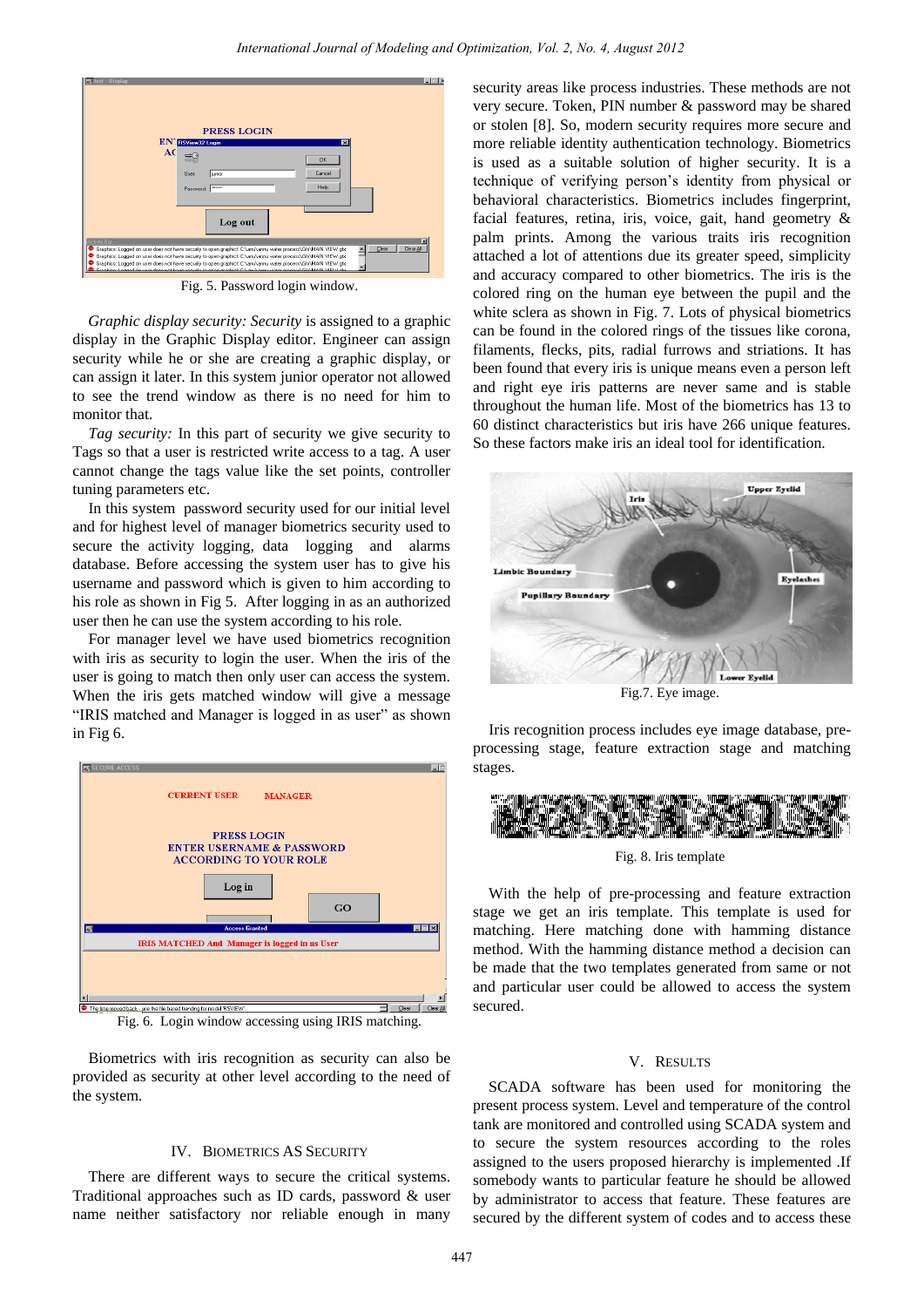

Fig. 5. Password login window.

*Graphic display security: Security* is assigned to a graphic display in the Graphic Display editor. Engineer can assign security while he or she are creating a graphic display, or can assign it later. In this system junior operator not allowed to see the trend window as there is no need for him to monitor that.

*Tag security:* In this part of security we give security to Tags so that a user is restricted write access to a tag. A user cannot change the tags value like the set points, controller tuning parameters etc.

In this system password security used for our initial level and for highest level of manager biometrics security used to secure the activity logging, data logging and alarms database. Before accessing the system user has to give his username and password which is given to him according to his role as shown in Fig 5. After logging in as an authorized user then he can use the system according to his role.

For manager level we have used biometrics recognition with iris as security to login the user. When the iris of the user is going to match then only user can access the system. When the iris gets matched window will give a message "IRIS matched and Manager is logged in as user" as shown in Fig 6.



Fig. 6. Login window accessing using IRIS matching.

Biometrics with iris recognition as security can also be provided as security at other level according to the need of the system.

# IV. BIOMETRICS AS SECURITY

There are different ways to secure the critical systems. Traditional approaches such as ID cards, password & user name neither satisfactory nor reliable enough in many

security areas like process industries. These methods are not very secure. Token, PIN number & password may be shared or stolen [8]. So, modern security requires more secure and more reliable identity authentication technology. Biometrics is used as a suitable solution of higher security. It is a technique of verifying person's identity from physical or behavioral characteristics. Biometrics includes fingerprint, facial features, retina, iris, voice, gait, hand geometry & palm prints. Among the various traits iris recognition attached a lot of attentions due its greater speed, simplicity and accuracy compared to other biometrics. The iris is the colored ring on the human eye between the pupil and the white sclera as shown in Fig. 7. Lots of physical biometrics can be found in the colored rings of the tissues like corona, filaments, flecks, pits, radial furrows and striations. It has been found that every iris is unique means even a person left and right eye iris patterns are never same and is stable throughout the human life. Most of the biometrics has 13 to 60 distinct characteristics but iris have 266 unique features. So these factors make iris an ideal tool for identification.



Fig.7. Eye image.

Iris recognition process includes eye image database, preprocessing stage, feature extraction stage and matching stages.



Fig. 8. Iris template

With the help of pre-processing and feature extraction stage we get an iris template. This template is used for matching. Here matching done with hamming distance method. With the hamming distance method a decision can be made that the two templates generated from same or not and particular user could be allowed to access the system secured.

#### V. RESULTS

SCADA software has been used for monitoring the present process system. Level and temperature of the control tank are monitored and controlled using SCADA system and to secure the system resources according to the roles assigned to the users proposed hierarchy is implemented .If somebody wants to particular feature he should be allowed by administrator to access that feature. These features are secured by the different system of codes and to access these